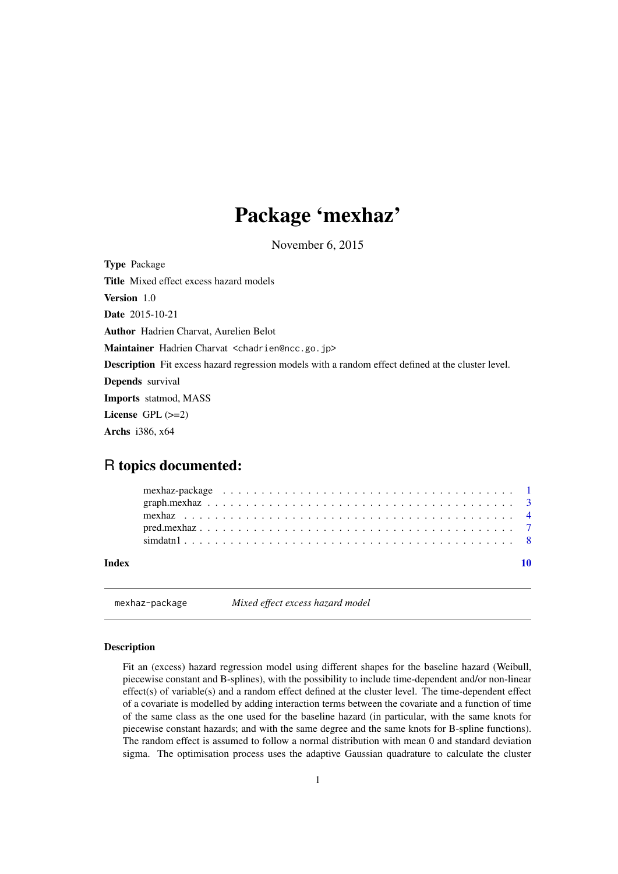## <span id="page-0-0"></span>Package 'mexhaz'

November 6, 2015

Type Package Title Mixed effect excess hazard models Version 1.0 Date 2015-10-21 Author Hadrien Charvat, Aurelien Belot Maintainer Hadrien Charvat <chadrien@ncc.go.jp> Description Fit excess hazard regression models with a random effect defined at the cluster level. Depends survival Imports statmod, MASS License GPL (>=2) Archs i386, x64

## R topics documented:

| Index |  |
|-------|--|

mexhaz-package *Mixed effect excess hazard model*

## Description

Fit an (excess) hazard regression model using different shapes for the baseline hazard (Weibull, piecewise constant and B-splines), with the possibility to include time-dependent and/or non-linear effect(s) of variable(s) and a random effect defined at the cluster level. The time-dependent effect of a covariate is modelled by adding interaction terms between the covariate and a function of time of the same class as the one used for the baseline hazard (in particular, with the same knots for piecewise constant hazards; and with the same degree and the same knots for B-spline functions). The random effect is assumed to follow a normal distribution with mean 0 and standard deviation sigma. The optimisation process uses the adaptive Gaussian quadrature to calculate the cluster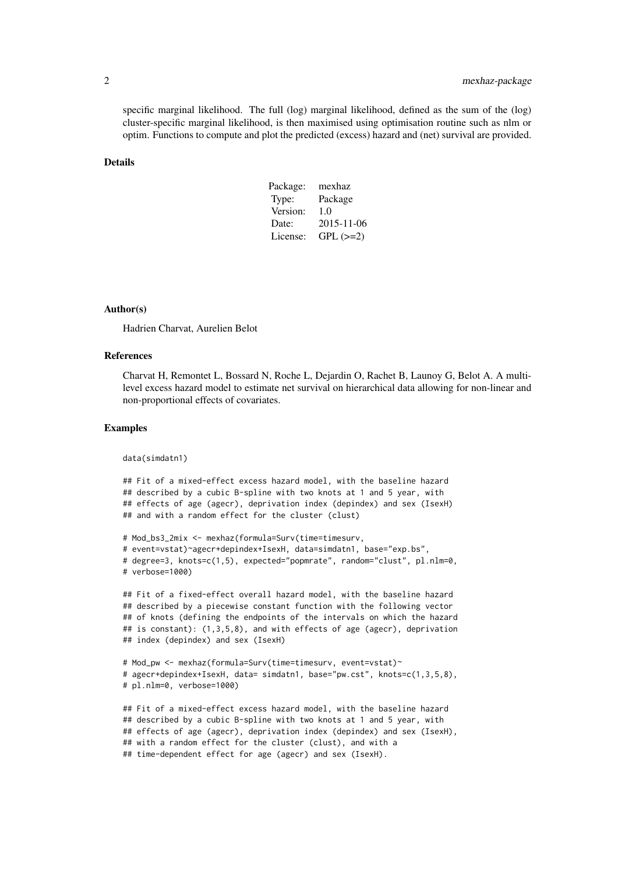specific marginal likelihood. The full (log) marginal likelihood, defined as the sum of the (log) cluster-specific marginal likelihood, is then maximised using optimisation routine such as nlm or optim. Functions to compute and plot the predicted (excess) hazard and (net) survival are provided.

## Details

| Package: | mexhaz     |
|----------|------------|
| Type:    | Package    |
| Version: | 1.0        |
| Date:    | 2015-11-06 |
| License: | $GPL (=2)$ |

## Author(s)

Hadrien Charvat, Aurelien Belot

## References

Charvat H, Remontet L, Bossard N, Roche L, Dejardin O, Rachet B, Launoy G, Belot A. A multilevel excess hazard model to estimate net survival on hierarchical data allowing for non-linear and non-proportional effects of covariates.

## Examples

data(simdatn1)

```
## Fit of a mixed-effect excess hazard model, with the baseline hazard
## described by a cubic B-spline with two knots at 1 and 5 year, with
## effects of age (agecr), deprivation index (depindex) and sex (IsexH)
## and with a random effect for the cluster (clust)
```

```
# Mod_bs3_2mix <- mexhaz(formula=Surv(time=timesurv,
# event=vstat)~agecr+depindex+IsexH, data=simdatn1, base="exp.bs",
# degree=3, knots=c(1,5), expected="popmrate", random="clust", pl.nlm=0,
# verbose=1000)
```

```
## Fit of a fixed-effect overall hazard model, with the baseline hazard
## described by a piecewise constant function with the following vector
## of knots (defining the endpoints of the intervals on which the hazard
## is constant): (1,3,5,8), and with effects of age (agecr), deprivation
## index (depindex) and sex (IsexH)
```

```
# Mod_pw <- mexhaz(formula=Surv(time=timesurv, event=vstat)~
# agecr+depindex+IsexH, data= simdatn1, base="pw.cst", knots=c(1,3,5,8),
# pl.nlm=0, verbose=1000)
```

```
## Fit of a mixed-effect excess hazard model, with the baseline hazard
## described by a cubic B-spline with two knots at 1 and 5 year, with
## effects of age (agecr), deprivation index (depindex) and sex (IsexH),
## with a random effect for the cluster (clust), and with a
## time-dependent effect for age (agecr) and sex (IsexH).
```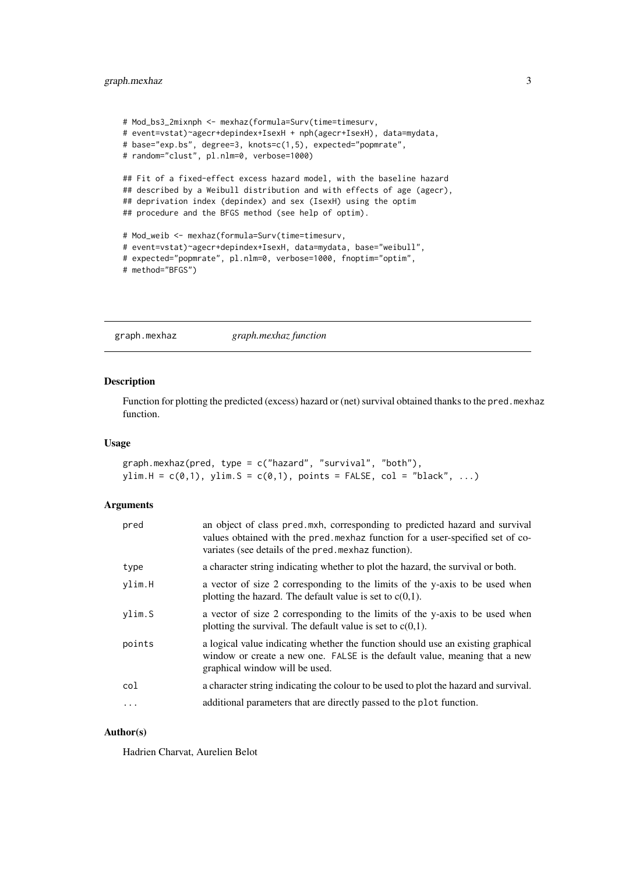## <span id="page-2-0"></span>graph.mexhaz 3

```
# Mod_bs3_2mixnph <- mexhaz(formula=Surv(time=timesurv,
# event=vstat)~agecr+depindex+IsexH + nph(agecr+IsexH), data=mydata,
# base="exp.bs", degree=3, knots=c(1,5), expected="popmrate",
# random="clust", pl.nlm=0, verbose=1000)
## Fit of a fixed-effect excess hazard model, with the baseline hazard
## described by a Weibull distribution and with effects of age (agecr),
## deprivation index (depindex) and sex (IsexH) using the optim
## procedure and the BFGS method (see help of optim).
# Mod_weib <- mexhaz(formula=Surv(time=timesurv,
# event=vstat)~agecr+depindex+IsexH, data=mydata, base="weibull",
# expected="popmrate", pl.nlm=0, verbose=1000, fnoptim="optim",
# method="BFGS")
```
graph.mexhaz *graph.mexhaz function*

## Description

Function for plotting the predicted (excess) hazard or (net) survival obtained thanks to the pred.mexhaz function.

## Usage

graph.mexhaz(pred, type = c("hazard", "survival", "both"),  $ylim.H = c(0,1), ylim.S = c(0,1), points = FALSE, col = "black", ...)$ 

## Arguments

| pred       | an object of class pred.mxh, corresponding to predicted hazard and survival<br>values obtained with the pred mexhaz function for a user-specified set of co-<br>variates (see details of the pred mexhaz function). |
|------------|---------------------------------------------------------------------------------------------------------------------------------------------------------------------------------------------------------------------|
| type       | a character string indicating whether to plot the hazard, the survival or both.                                                                                                                                     |
| ylim.H     | a vector of size 2 corresponding to the limits of the y-axis to be used when<br>plotting the hazard. The default value is set to $c(0,1)$ .                                                                         |
| ylim.S     | a vector of size 2 corresponding to the limits of the y-axis to be used when<br>plotting the survival. The default value is set to $c(0,1)$ .                                                                       |
| points     | a logical value indicating whether the function should use an existing graphical<br>window or create a new one. FALSE is the default value, meaning that a new<br>graphical window will be used.                    |
| col        | a character string indicating the colour to be used to plot the hazard and survival.                                                                                                                                |
| $\ddots$ . | additional parameters that are directly passed to the plot function.                                                                                                                                                |

## Author(s)

Hadrien Charvat, Aurelien Belot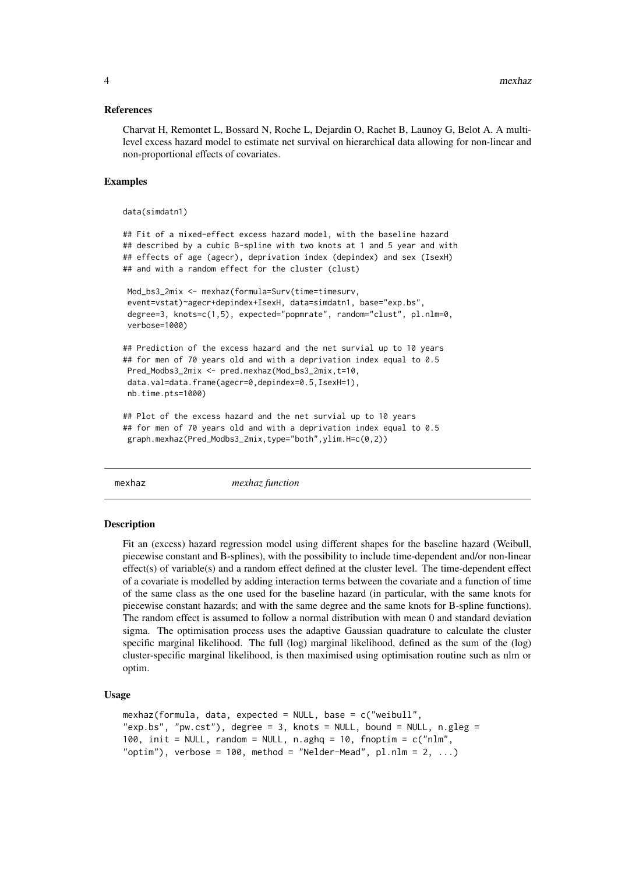## <span id="page-3-0"></span>References

Charvat H, Remontet L, Bossard N, Roche L, Dejardin O, Rachet B, Launoy G, Belot A. A multilevel excess hazard model to estimate net survival on hierarchical data allowing for non-linear and non-proportional effects of covariates.

#### Examples

```
data(simdatn1)
```

```
## Fit of a mixed-effect excess hazard model, with the baseline hazard
## described by a cubic B-spline with two knots at 1 and 5 year and with
## effects of age (agecr), deprivation index (depindex) and sex (IsexH)
## and with a random effect for the cluster (clust)
Mod_bs3_2mix <- mexhaz(formula=Surv(time=timesurv,
 event=vstat)~agecr+depindex+IsexH, data=simdatn1, base="exp.bs",
 degree=3, knots=c(1,5), expected="popmrate", random="clust", pl.nlm=0,
 verbose=1000)
## Prediction of the excess hazard and the net survial up to 10 years
## for men of 70 years old and with a deprivation index equal to 0.5
Pred Modbs3 2mix <- pred.mexhaz(Mod bs3 2mix.t=10,
data.val=data.frame(agecr=0,depindex=0.5,IsexH=1),
nb.time.pts=1000)
## Plot of the excess hazard and the net survial up to 10 years
## for men of 70 years old and with a deprivation index equal to 0.5
 graph.mexhaz(Pred_Modbs3_2mix,type="both",ylim.H=c(0,2))
```
mexhaz *mexhaz function*

#### Description

Fit an (excess) hazard regression model using different shapes for the baseline hazard (Weibull, piecewise constant and B-splines), with the possibility to include time-dependent and/or non-linear effect(s) of variable(s) and a random effect defined at the cluster level. The time-dependent effect of a covariate is modelled by adding interaction terms between the covariate and a function of time of the same class as the one used for the baseline hazard (in particular, with the same knots for piecewise constant hazards; and with the same degree and the same knots for B-spline functions). The random effect is assumed to follow a normal distribution with mean 0 and standard deviation sigma. The optimisation process uses the adaptive Gaussian quadrature to calculate the cluster specific marginal likelihood. The full (log) marginal likelihood, defined as the sum of the (log) cluster-specific marginal likelihood, is then maximised using optimisation routine such as nlm or optim.

#### Usage

```
mexhaz(formula, data, expected = NULL, base = c("weibull",
"exp.bs", "pw.cst"), degree = 3, knots = NULL, bound = NULL, n.gleg =100, init = NULL, random = NULL, n \cdot \text{aghq} = 10, fnoptim = c("nlm","optim"), verbose = 100, method = "Nelder-Mead", pl.nlm = 2, ...)
```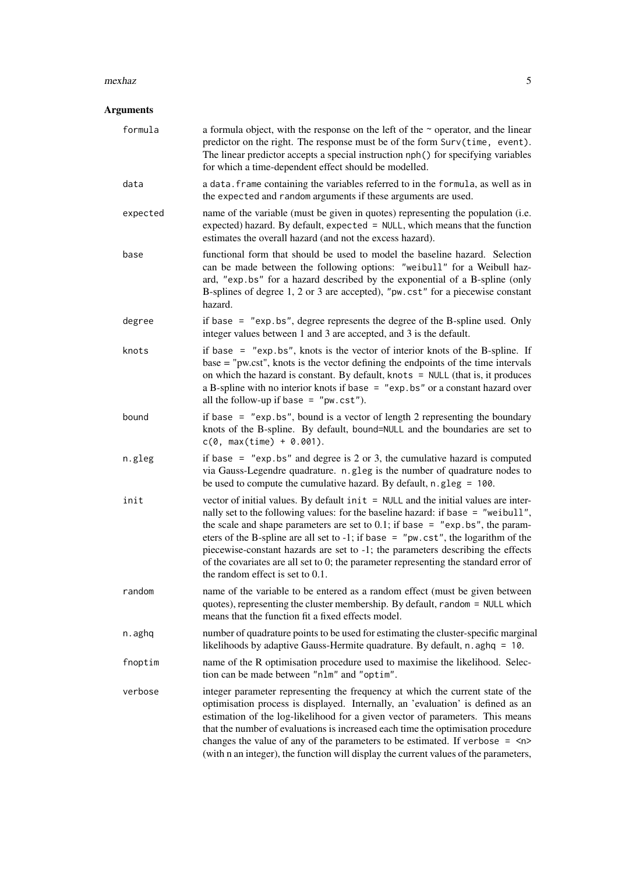## $m$ exhaz  $5$

## Arguments

| formula  | a formula object, with the response on the left of the $\sim$ operator, and the linear<br>predictor on the right. The response must be of the form Surv(time, event).<br>The linear predictor accepts a special instruction nph() for specifying variables<br>for which a time-dependent effect should be modelled.                                                                                                                                                                                                                                               |
|----------|-------------------------------------------------------------------------------------------------------------------------------------------------------------------------------------------------------------------------------------------------------------------------------------------------------------------------------------------------------------------------------------------------------------------------------------------------------------------------------------------------------------------------------------------------------------------|
| data     | a data. frame containing the variables referred to in the formula, as well as in<br>the expected and random arguments if these arguments are used.                                                                                                                                                                                                                                                                                                                                                                                                                |
| expected | name of the variable (must be given in quotes) representing the population (i.e.<br>expected) hazard. By default, expected = NULL, which means that the function<br>estimates the overall hazard (and not the excess hazard).                                                                                                                                                                                                                                                                                                                                     |
| base     | functional form that should be used to model the baseline hazard. Selection<br>can be made between the following options: "weibull" for a Weibull haz-<br>ard, "exp.bs" for a hazard described by the exponential of a B-spline (only<br>B-splines of degree 1, 2 or 3 are accepted), "pw. cst" for a piecewise constant<br>hazard.                                                                                                                                                                                                                               |
| degree   | if base $=$ "exp. bs", degree represents the degree of the B-spline used. Only<br>integer values between 1 and 3 are accepted, and 3 is the default.                                                                                                                                                                                                                                                                                                                                                                                                              |
| knots    | if base $=$ "exp. bs", knots is the vector of interior knots of the B-spline. If<br>base = "pw.cst", knots is the vector defining the endpoints of the time intervals<br>on which the hazard is constant. By default, knots = $NULL$ (that is, it produces<br>a B-spline with no interior knots if base $=$ "exp. bs" or a constant hazard over<br>all the follow-up if base = $"pw.cst"$ ).                                                                                                                                                                      |
| bound    | if base $=$ "exp. bs", bound is a vector of length 2 representing the boundary<br>knots of the B-spline. By default, bound=NULL and the boundaries are set to<br>$c(0, max(time) + 0.001).$                                                                                                                                                                                                                                                                                                                                                                       |
| n.gleg   | if base $=$ "exp. bs" and degree is 2 or 3, the cumulative hazard is computed<br>via Gauss-Legendre quadrature. n.gleg is the number of quadrature nodes to<br>be used to compute the cumulative hazard. By default, $n$ . gleg = 100.                                                                                                                                                                                                                                                                                                                            |
| init     | vector of initial values. By default init = NULL and the initial values are inter-<br>nally set to the following values: for the baseline hazard: if base = "weibull",<br>the scale and shape parameters are set to $0.1$ ; if base = "exp. bs", the param-<br>eters of the B-spline are all set to -1; if base = $"pw.cst",$ the logarithm of the<br>piecewise-constant hazards are set to -1; the parameters describing the effects<br>of the covariates are all set to 0; the parameter representing the standard error of<br>the random effect is set to 0.1. |
| random   | name of the variable to be entered as a random effect (must be given between<br>quotes), representing the cluster membership. By default, random = NULL which<br>means that the function fit a fixed effects model.                                                                                                                                                                                                                                                                                                                                               |
| n.aghq   | number of quadrature points to be used for estimating the cluster-specific marginal<br>likelihoods by adaptive Gauss-Hermite quadrature. By default, n. aghq = 10.                                                                                                                                                                                                                                                                                                                                                                                                |
| fnoptim  | name of the R optimisation procedure used to maximise the likelihood. Selec-<br>tion can be made between "nlm" and "optim".                                                                                                                                                                                                                                                                                                                                                                                                                                       |
| verbose  | integer parameter representing the frequency at which the current state of the<br>optimisation process is displayed. Internally, an 'evaluation' is defined as an<br>estimation of the log-likelihood for a given vector of parameters. This means<br>that the number of evaluations is increased each time the optimisation procedure<br>changes the value of any of the parameters to be estimated. If verbose $=$ $\langle n \rangle$<br>(with n an integer), the function will display the current values of the parameters,                                  |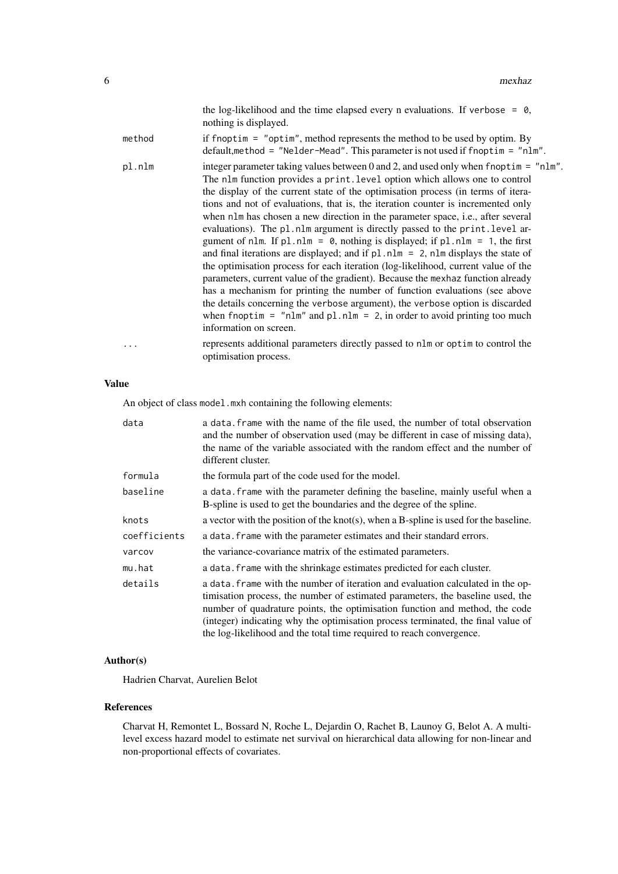| the log-likelihood and the time elapsed every n evaluations. If verbose = $\theta$ , |  |  |
|--------------------------------------------------------------------------------------|--|--|
| nothing is displayed.                                                                |  |  |

| method | if fnoptim $=$ "optim", method represents the method to be used by optim. By<br>$default, method = "Nelder-Mead".$ This parameter is not used if froptim = "nlm".                                                                                                                                                                                                                                                                                                                                                                                                                                                                                                                                                                                                                                                                                                                                                                                                                                                                                                                                                                            |
|--------|----------------------------------------------------------------------------------------------------------------------------------------------------------------------------------------------------------------------------------------------------------------------------------------------------------------------------------------------------------------------------------------------------------------------------------------------------------------------------------------------------------------------------------------------------------------------------------------------------------------------------------------------------------------------------------------------------------------------------------------------------------------------------------------------------------------------------------------------------------------------------------------------------------------------------------------------------------------------------------------------------------------------------------------------------------------------------------------------------------------------------------------------|
| pl.nlm | integer parameter taking values between 0 and 2, and used only when fnopt $i = "nlm"$ .<br>The nlm function provides a print. level option which allows one to control<br>the display of the current state of the optimisation process (in terms of itera-<br>tions and not of evaluations, that is, the iteration counter is incremented only<br>when nlm has chosen a new direction in the parameter space, i.e., after several<br>evaluations). The pl.nlm argument is directly passed to the print.level ar-<br>gument of nlm. If $p1.nlm = 0$ , nothing is displayed; if $p1.nlm = 1$ , the first<br>and final iterations are displayed; and if $p1.nlm = 2$ , nlm displays the state of<br>the optimisation process for each iteration (log-likelihood, current value of the<br>parameters, current value of the gradient). Because the mexhaz function already<br>has a mechanism for printing the number of function evaluations (see above<br>the details concerning the verbose argument), the verbose option is discarded<br>when fnoptim = $"nlm"$ and pl.nlm = 2, in order to avoid printing too much<br>information on screen. |
| .      | represents additional parameters directly passed to nlm or optim to control the<br>optimisation process.                                                                                                                                                                                                                                                                                                                                                                                                                                                                                                                                                                                                                                                                                                                                                                                                                                                                                                                                                                                                                                     |

## Value

An object of class model.mxh containing the following elements:

| data         | a data. Frame with the name of the file used, the number of total observation<br>and the number of observation used (may be different in case of missing data),<br>the name of the variable associated with the random effect and the number of<br>different cluster.                                                                                                                                        |
|--------------|--------------------------------------------------------------------------------------------------------------------------------------------------------------------------------------------------------------------------------------------------------------------------------------------------------------------------------------------------------------------------------------------------------------|
| formula      | the formula part of the code used for the model.                                                                                                                                                                                                                                                                                                                                                             |
| baseline     | a data. frame with the parameter defining the baseline, mainly useful when a<br>B-spline is used to get the boundaries and the degree of the spline.                                                                                                                                                                                                                                                         |
| knots        | a vector with the position of the knot(s), when a B-spline is used for the baseline.                                                                                                                                                                                                                                                                                                                         |
| coefficients | a data. frame with the parameter estimates and their standard errors.                                                                                                                                                                                                                                                                                                                                        |
| varcov       | the variance-covariance matrix of the estimated parameters.                                                                                                                                                                                                                                                                                                                                                  |
| mu.hat       | a data. frame with the shrinkage estimates predicted for each cluster.                                                                                                                                                                                                                                                                                                                                       |
| details      | a data. frame with the number of iteration and evaluation calculated in the op-<br>timisation process, the number of estimated parameters, the baseline used, the<br>number of quadrature points, the optimisation function and method, the code<br>(integer) indicating why the optimisation process terminated, the final value of<br>the log-likelihood and the total time required to reach convergence. |

## Author(s)

Hadrien Charvat, Aurelien Belot

## References

Charvat H, Remontet L, Bossard N, Roche L, Dejardin O, Rachet B, Launoy G, Belot A. A multilevel excess hazard model to estimate net survival on hierarchical data allowing for non-linear and non-proportional effects of covariates.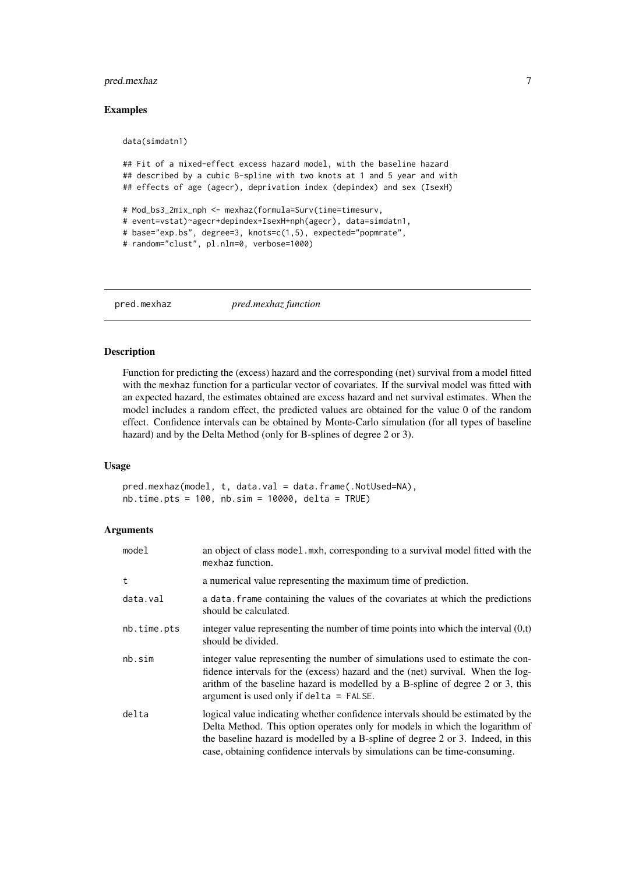## <span id="page-6-0"></span>pred.mexhaz 7

## Examples

```
data(simdatn1)
## Fit of a mixed-effect excess hazard model, with the baseline hazard
## described by a cubic B-spline with two knots at 1 and 5 year and with
## effects of age (agecr), deprivation index (depindex) and sex (IsexH)
# Mod_bs3_2mix_nph <- mexhaz(formula=Surv(time=timesurv,
# event=vstat)~agecr+depindex+IsexH+nph(agecr), data=simdatn1,
# base="exp.bs", degree=3, knots=c(1,5), expected="popmrate",
# random="clust", pl.nlm=0, verbose=1000)
```
pred.mexhaz *pred.mexhaz function*

## Description

Function for predicting the (excess) hazard and the corresponding (net) survival from a model fitted with the mexhaz function for a particular vector of covariates. If the survival model was fitted with an expected hazard, the estimates obtained are excess hazard and net survival estimates. When the model includes a random effect, the predicted values are obtained for the value 0 of the random effect. Confidence intervals can be obtained by Monte-Carlo simulation (for all types of baseline hazard) and by the Delta Method (only for B-splines of degree 2 or 3).

## Usage

pred.mexhaz(model, t, data.val = data.frame(.NotUsed=NA), nb.time.pts = 100, nb.sim = 10000, delta = TRUE)

## Arguments

| model       | an object of class model . mxh, corresponding to a survival model fitted with the<br>mexhaz function.                                                                                                                                                                                                                             |
|-------------|-----------------------------------------------------------------------------------------------------------------------------------------------------------------------------------------------------------------------------------------------------------------------------------------------------------------------------------|
| t           | a numerical value representing the maximum time of prediction.                                                                                                                                                                                                                                                                    |
| data.val    | a data. Frame containing the values of the covariates at which the predictions<br>should be calculated.                                                                                                                                                                                                                           |
| nb.time.pts | integer value representing the number of time points into which the interval $(0,t)$<br>should be divided.                                                                                                                                                                                                                        |
| nb.sim      | integer value representing the number of simulations used to estimate the con-<br>fidence intervals for the (excess) hazard and the (net) survival. When the log-<br>arithm of the baseline hazard is modelled by a B-spline of degree 2 or 3, this<br>argument is used only if delta = $FALSE.$                                  |
| delta       | logical value indicating whether confidence intervals should be estimated by the<br>Delta Method. This option operates only for models in which the logarithm of<br>the baseline hazard is modelled by a B-spline of degree 2 or 3. Indeed, in this<br>case, obtaining confidence intervals by simulations can be time-consuming. |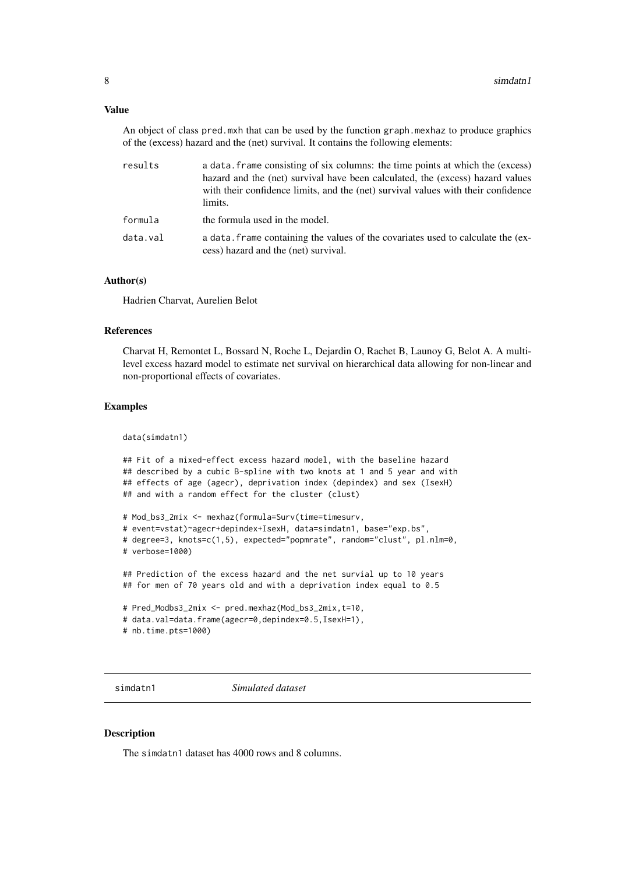## <span id="page-7-0"></span>Value

An object of class pred.mxh that can be used by the function graph.mexhaz to produce graphics of the (excess) hazard and the (net) survival. It contains the following elements:

| results  | a data, frame consisting of six columns: the time points at which the (excess)<br>hazard and the (net) survival have been calculated, the (excess) hazard values<br>with their confidence limits, and the (net) survival values with their confidence<br>limits. |
|----------|------------------------------------------------------------------------------------------------------------------------------------------------------------------------------------------------------------------------------------------------------------------|
| formula  | the formula used in the model.                                                                                                                                                                                                                                   |
| data.val | a data, frame containing the values of the covariates used to calculate the (ex-<br>cess) hazard and the (net) survival.                                                                                                                                         |

## Author(s)

Hadrien Charvat, Aurelien Belot

## References

Charvat H, Remontet L, Bossard N, Roche L, Dejardin O, Rachet B, Launoy G, Belot A. A multilevel excess hazard model to estimate net survival on hierarchical data allowing for non-linear and non-proportional effects of covariates.

## Examples

data(simdatn1)

```
## Fit of a mixed-effect excess hazard model, with the baseline hazard
## described by a cubic B-spline with two knots at 1 and 5 year and with
## effects of age (agecr), deprivation index (depindex) and sex (IsexH)
## and with a random effect for the cluster (clust)
```

```
# Mod_bs3_2mix <- mexhaz(formula=Surv(time=timesurv,
# event=vstat)~agecr+depindex+IsexH, data=simdatn1, base="exp.bs",
# degree=3, knots=c(1,5), expected="popmrate", random="clust", pl.nlm=0,
# verbose=1000)
```

```
## Prediction of the excess hazard and the net survial up to 10 years
## for men of 70 years old and with a deprivation index equal to 0.5
```

```
# Pred_Modbs3_2mix <- pred.mexhaz(Mod_bs3_2mix,t=10,
# data.val=data.frame(agecr=0,depindex=0.5,IsexH=1),
# nb.time.pts=1000)
```
simdatn1 *Simulated dataset*

## Description

The simdatn1 dataset has 4000 rows and 8 columns.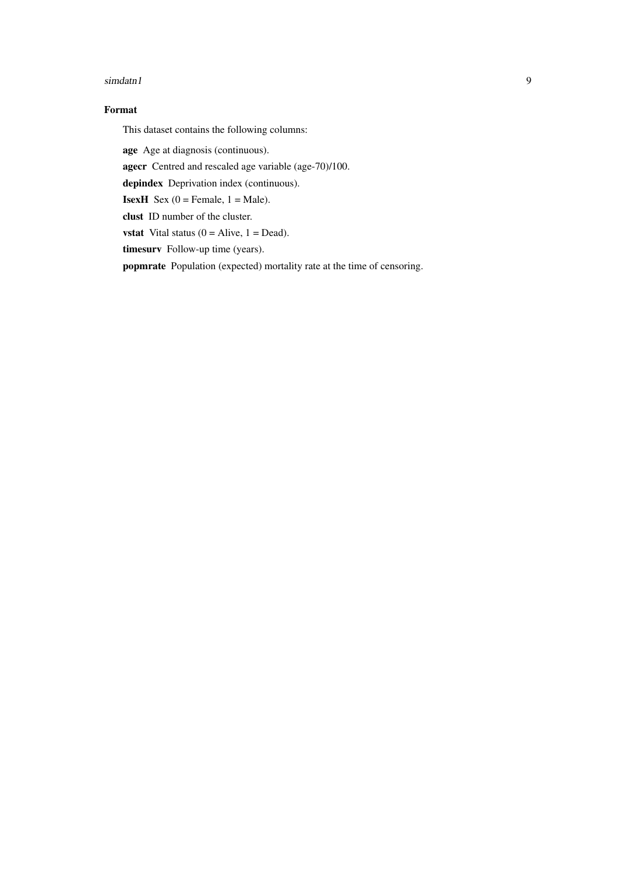## simdatn1 9

## Format

This dataset contains the following columns:

age Age at diagnosis (continuous).

agecr Centred and rescaled age variable (age-70)/100.

depindex Deprivation index (continuous).

**IsexH** Sex  $(0 =$  Female,  $1 =$  Male).

clust ID number of the cluster.

**vstat** Vital status  $(0 = \text{Alive}, 1 = \text{Dead}).$ 

timesurv Follow-up time (years).

popmrate Population (expected) mortality rate at the time of censoring.